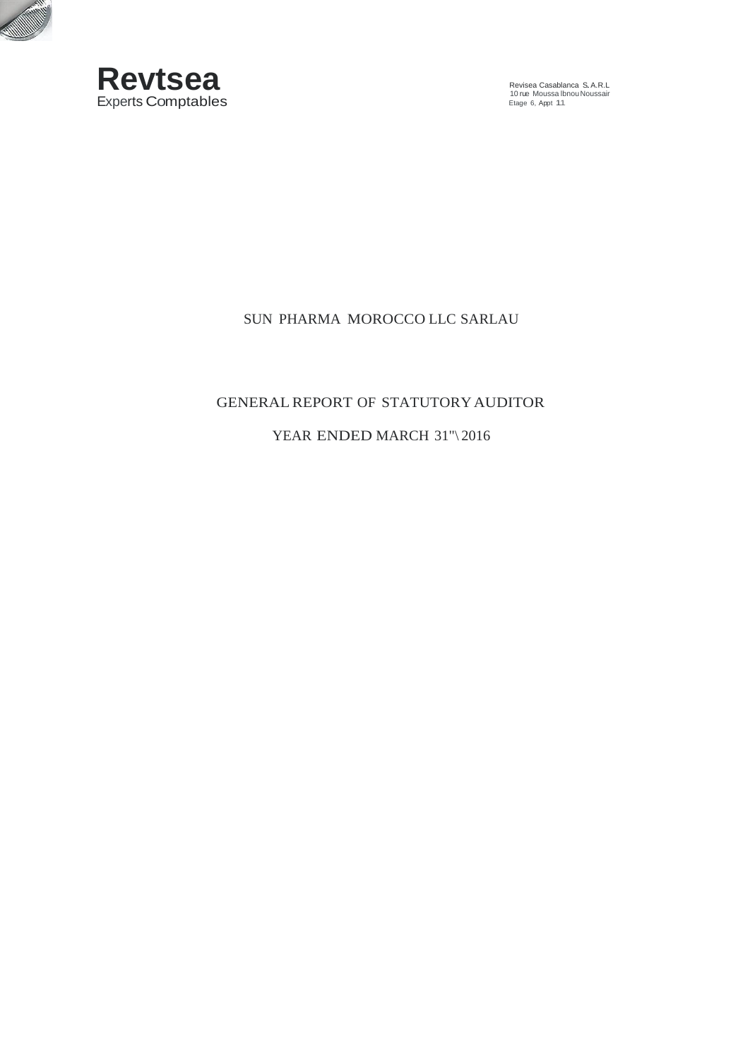

**CONSUMING STATE** 

Revisea Casablanca S.A.R.L 10 rue Moussa lbnouNoussair Etage 6, Appt 11

# SUN PHARMA MOROCCO LLC SARLAU

### GENERALREPORT OF STATUTORYAUDITOR

## YEAR ENDED MARCH 31"\2016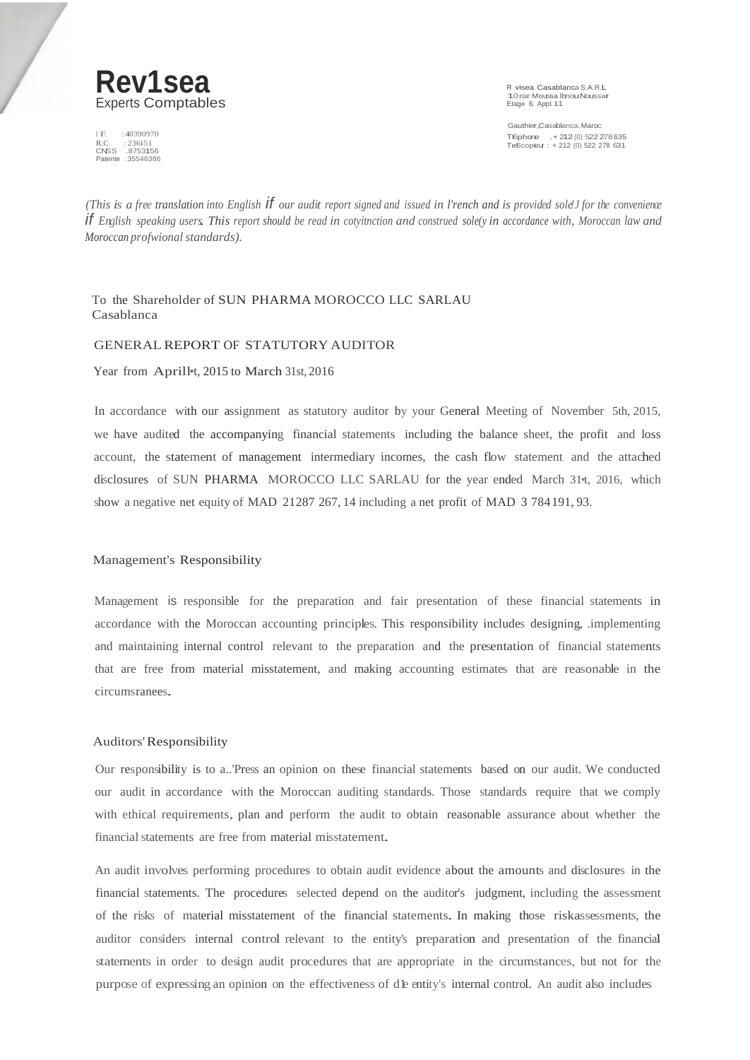

I F. : 40390970<br>R.C. : 236151 R.C. : 236151<br>CNSS .875315<br>Patente : 355463 R.C. : 236151<br>CNSS .8753156<br>Patente : 35546386 10 rue Moussa Ibnou Noussair

Gauthier,Casablanca,Maroc Tl6phone .+ <sup>212</sup> (0) <sup>522</sup> <sup>278635</sup> Tel6copieur : <sup>+</sup> <sup>212</sup> (0) <sup>522</sup> <sup>278</sup> <sup>631</sup>

(This is a free translation into English  $\hat{f}$  our audit report signed and issued in l'rench and is provided sole'J for the convenience If English speaking users. This report should be read in cotyitnction and construed sole(y in accordance with, Moroccan law and  $Moreover, a principal standards$ ).

To the Shareholder of SUN PHARMA MOROCCO LLC SARLAU Casablanca

#### GENERALREPORT OF STATUTORY AUDITOR

Year from Aprill•t, 2015 to March 31st, 2016

In accordance with our assignment as statutory auditor by your General Meeting of November 5th, 2015, we have audited the accompanying financial statements including the balance sheet, the profit and loss account, the statement of management intermediary incomes, the cash flow statement and the attached disclosures of SUN PHARMA MOROCCO LLC SARLAU for the year ended March 31•t, 2016, which show a negative net equity of MAD 21287 267, 14 including a net profit of MAD 3 784191, 93.

#### Management's Responsibility

Management is responsible for the preparation and fair presentation of these financial statements in accordance with the Moroccan accounting principles. This responsibility includes designing, .implementing and maintaining internal control relevant to the preparation and the presentation of financial statements that are free from material misstatement, and making accounting estimates that are reasonable in the circumsranees.

#### Auditors'Responsibility

Our responsibility is to a..'Press an opinion on these financial statements based on our audit. We conducted our audit in accordance with the Moroccan auditing standards. Those standards require that we comply with ethical requirements, plan and perform the audit to obtain reasonable assurance about whether the financial statements are free from material misstatement.

An audit involves performing procedures to obtain audit evidence about the amounts and disclosures in the financial statements. The procedures selected depend on the auditor's judgment, including the assessment of the risks of material misstatement of the financial statements. In making those riskassessments, the auditor considers internal control relevant to the entity's preparation and presentation of the financial statements in order to design audit procedures that are appropriate in the circumstances, but not for the purpose of expressing an opinion on the effectiveness of dk entity's internal control. An audit also includes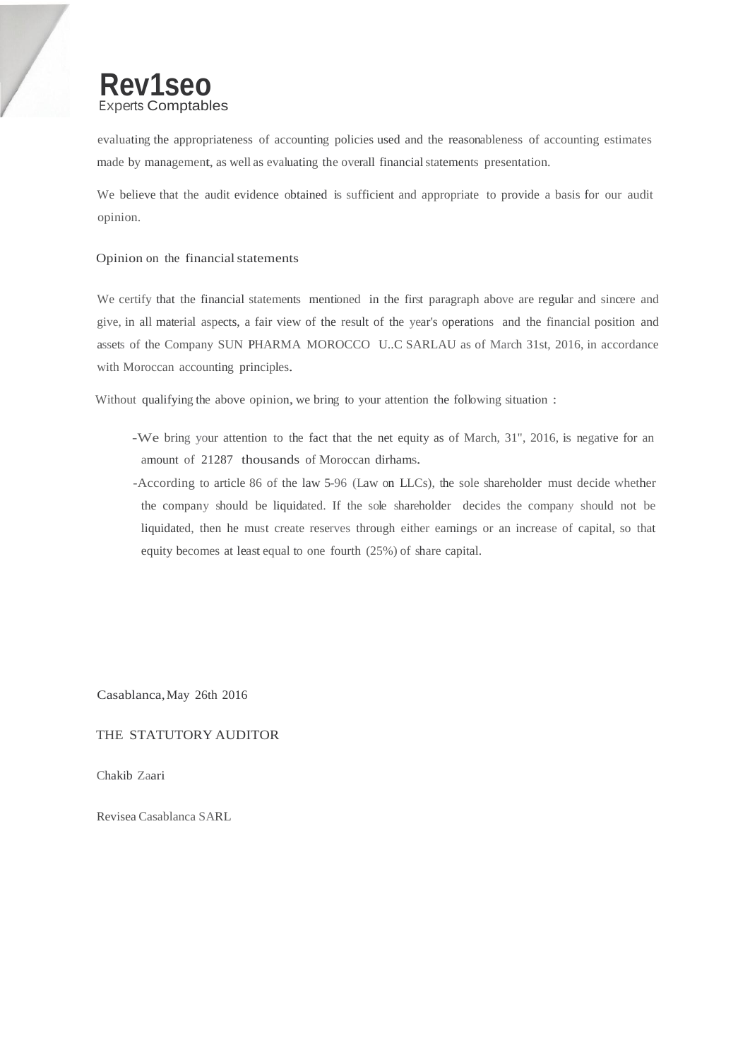

evaluating the appropriateness of accounting policies used and the reasonableness of accounting estimates made by management, as well as evaluating the overall financial statements presentation.

We believe that the audit evidence obtained is sufficient and appropriate to provide a basis for our audit opinion.

#### Opinion on the financial statements

We certify that the financial statements mentioned in the first paragraph above are regular and sincere and give, in all material aspects, a fair view of the result of the year's operations and the financial position and assets of the Company SUN PHARMA MOROCCO U..C SARLAU as of March 31st, 2016, in accordance with Moroccan accounting principles.

Without qualifying the above opinion, we bring to your attention the following situation :

- -We bring your attention to the fact that the net equity as of March, 31", 2016, is negative for an amount of 21287 thousands of Moroccan dirhams.
- -According to article 86 of the law 5-96 (Law on LLCs), the sole shareholder must decide whether the company should be liquidated. If the sole shareholder decides the company should not be liquidated, then he must create reserves through either earnings or an increase of capital, so that equity becomes at least equal to one fourth (25%) of share capital.

Casablanca,May 26th 2016

#### THE STATUTORY AUDITOR

Chakib Zaari

Revisea Casablanca SARL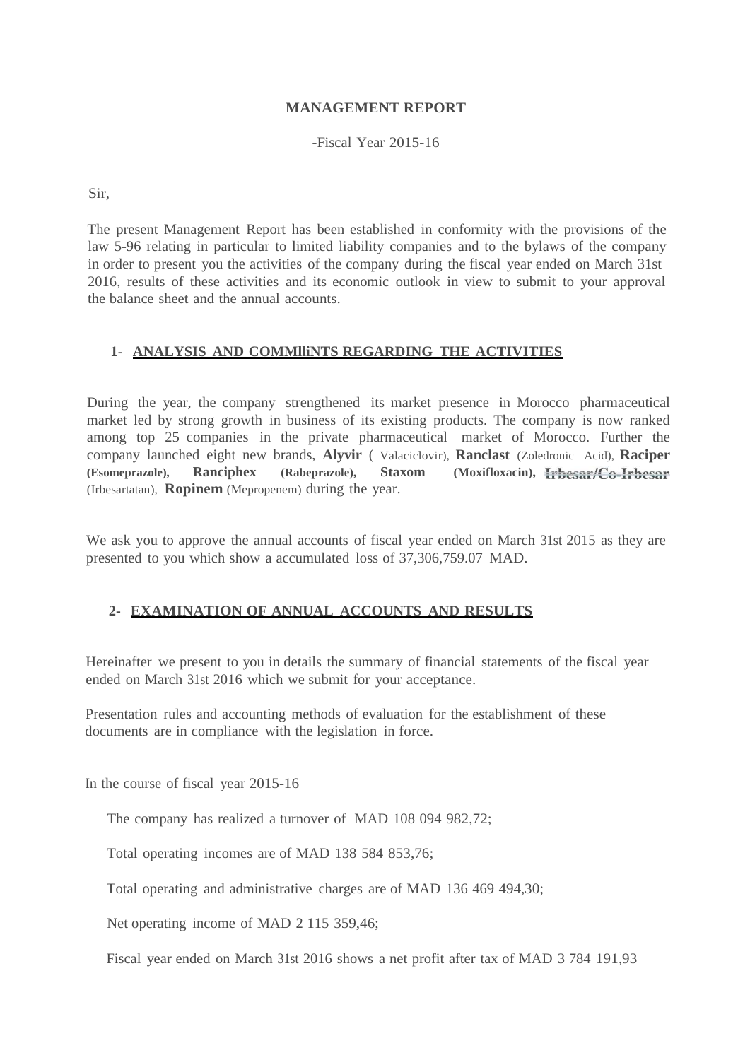### **MANAGEMENT REPORT**

-Fiscal Year 2015-16

Sir,

The present Management Report has been established in conformity with the provisions of the law 5-96 relating in particular to limited liability companies and to the bylaws of the company in order to present you the activities of the company during the fiscal year ended on March 31st 2016, results of these activities and its economic outlook in view to submit to your approval the balance sheet and the annual accounts.

### **1- ANALYSIS AND COMMlliNTS REGARDING THE ACTIVITIES**

During the year, the company strengthened its market presence in Morocco pharmaceutical market led by strong growth in business of its existing products. The company is now ranked among top 25 companies in the private pharmaceutical market of Morocco. Further the company launched eight new brands, **Alyvir** ( Valaciclovir), **Ranclast** (Zoledronic Acid), **Raciper (Esomeprazole), Ranciphex (Rabeprazole), Staxom (Moxifloxacin),**  (Irbesartatan), **Ropinem** (Mepropenem) during the year.

We ask you to approve the annual accounts of fiscal year ended on March 31st 2015 as they are presented to you which show a accumulated loss of 37,306,759.07 MAD.

# **2- EXAMINATION OF ANNUAL ACCOUNTS AND RESULTS**

Hereinafter we present to you in details the summary of financial statements of the fiscal year ended on March 31st 2016 which we submit for your acceptance.

Presentation rules and accounting methods of evaluation for the establishment of these documents are in compliance with the legislation in force.

In the course of fiscal year 2015-16

The company has realized a turnover of MAD 108 094 982,72;

Total operating incomes are of MAD 138 584 853,76;

Total operating and administrative charges are of MAD 136 469 494,30;

Net operating income of MAD 2 115 359,46;

Fiscal year ended on March 31st 2016 shows a net profit after tax of MAD 3 784 191,93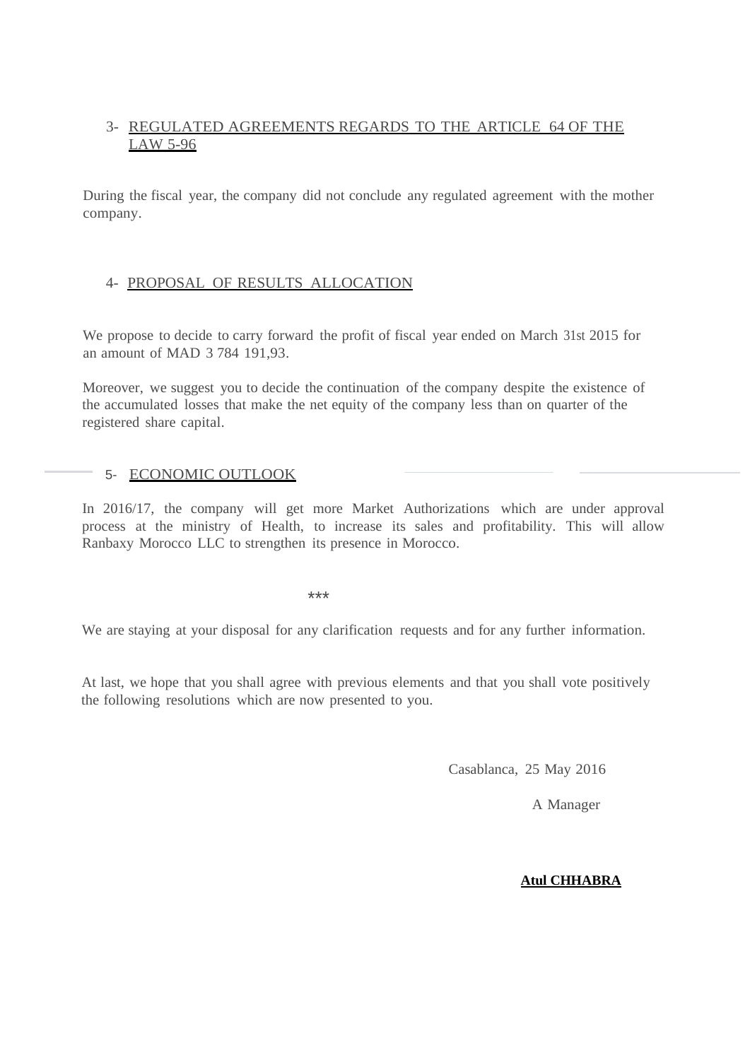# 3- REGULATED AGREEMENTS REGARDS TO THE ARTICLE 64 OF THE LAW 5-96

During the fiscal year, the company did not conclude any regulated agreement with the mother company.

### 4- PROPOSAL OF RESULTS ALLOCATION

We propose to decide to carry forward the profit of fiscal year ended on March 31st 2015 for an amount of MAD 3 784 191,93.

Moreover, we suggest you to decide the continuation of the company despite the existence of the accumulated losses that make the net equity of the company less than on quarter of the registered share capital.

# 5- ECONOMIC OUTLOOK

In 2016/17, the company will get more Market Authorizations which are under approval process at the ministry of Health, to increase its sales and profitability. This will allow Ranbaxy Morocco LLC to strengthen its presence in Morocco.

\*\*\*

We are staying at your disposal for any clarification requests and for any further information.

At last, we hope that you shall agree with previous elements and that you shall vote positively the following resolutions which are now presented to you.

Casablanca, 25 May 2016

A Manager

### **Atul CHHABRA**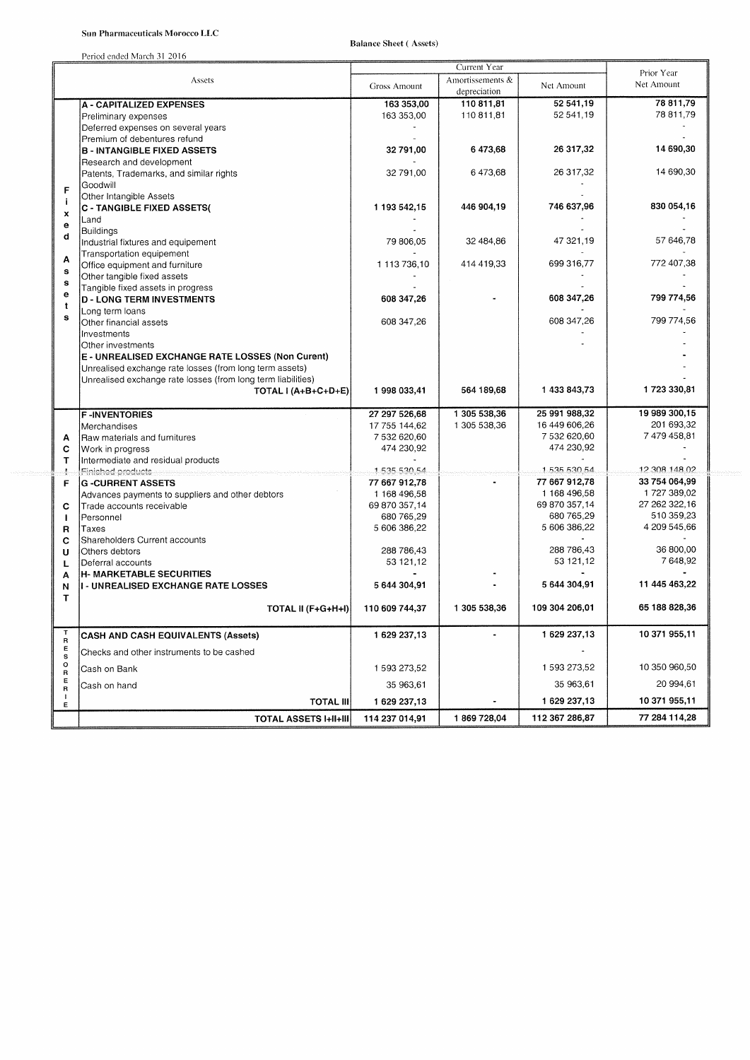Period ended March 31 2016

**Balance Sheet (Assets)** 

|                        |                                                                               | Current Year        |                  |                         | Prior Year            |
|------------------------|-------------------------------------------------------------------------------|---------------------|------------------|-------------------------|-----------------------|
|                        | Assets                                                                        | <b>Gross Amount</b> | Amortissements & | Net Amount              | Net Amount            |
|                        |                                                                               |                     | depreciation     |                         |                       |
|                        | <b>A - CAPITALIZED EXPENSES</b>                                               | 163 353,00          | 110 811,81       | 52 541,19               | 78 811,79             |
|                        | Preliminary expenses                                                          | 163 353,00          | 110 811,81       | 52 541,19               | 78 811,79             |
|                        | Deferred expenses on several years                                            |                     |                  |                         |                       |
|                        | Premium of debentures refund                                                  |                     |                  |                         |                       |
|                        | <b>B - INTANGIBLE FIXED ASSETS</b>                                            | 32 791.00           | 6 473,68         | 26 317,32               | 14 690,30             |
|                        | Research and development                                                      |                     |                  |                         |                       |
|                        | Patents, Trademarks, and similar rights                                       | 32 791,00           | 6473,68          | 26 317,32               | 14 690,30             |
| F                      | Goodwill                                                                      |                     |                  |                         |                       |
| Ť                      | Other Intangible Assets<br><b>C - TANGIBLE FIXED ASSETS(</b>                  | 1 193 542,15        | 446 904,19       | 746 637,96              | 830 054,16            |
| $\pmb{\times}$         | Land                                                                          |                     |                  |                         |                       |
| е                      | Buildings                                                                     |                     |                  |                         |                       |
| d                      | Industrial fixtures and equipement                                            | 79 806.05           | 32 484.86        | 47 321,19               | 57 646.78             |
|                        | Transportation equipement                                                     |                     |                  |                         |                       |
| Α                      | Office equipment and furniture                                                | 1 113 736,10        | 414 419,33       | 699 316.77              | 772 407,38            |
| $\mathbf s$            | Other tangible fixed assets                                                   |                     |                  |                         |                       |
| $\mathbf s$            | Tangible fixed assets in progress                                             |                     |                  |                         |                       |
| e                      | <b>D - LONG TERM INVESTMENTS</b>                                              | 608 347,26          |                  | 608 347,26              | 799 774,56            |
| $\mathbf t$<br>s       | Long term loans                                                               |                     |                  |                         |                       |
|                        | Other financial assets                                                        | 608 347,26          |                  | 608 347,26              | 799 774.56            |
|                        | Investments                                                                   |                     |                  |                         |                       |
|                        | Other investments                                                             |                     |                  |                         |                       |
|                        | E - UNREALISED EXCHANGE RATE LOSSES (Non Curent)                              |                     |                  |                         |                       |
|                        | Unrealised exchange rate losses (from long term assets)                       |                     |                  |                         |                       |
|                        | Unrealised exchange rate losses (from long term liabilities)                  |                     |                  |                         | 1723 330.81           |
|                        | TOTAL I (A+B+C+D+E)                                                           | 1998 033,41         | 564 189,68       | 1 433 843,73            |                       |
|                        | <b>F-INVENTORIES</b>                                                          | 27 297 526.68       | 1 305 538,36     | 25 991 988,32           | 19 989 300,15         |
|                        | Merchandises                                                                  | 17 755 144,62       | 1 305 538,36     | 16 449 606,26           | 201 693,32            |
| A                      | Raw materials and furnitures                                                  | 7 532 620,60        |                  | 7 532 620,60            | 7479458,81            |
| с                      | Work in progress                                                              | 474 230,92          |                  | 474 230,92              |                       |
| т                      | Intermediate and residual products                                            |                     |                  |                         |                       |
| 壕                      | Finished products                                                             | 1 535 530 54        |                  | 1 535 530 54            | 12 308 148 02         |
| F                      | <b>G -CURRENT ASSETS</b>                                                      | 77 667 912,78       |                  | 77 667 912,78           | 33 754 064,99         |
|                        | Advances payments to suppliers and other debtors                              | 1 168 496,58        |                  | 1 168 496,58            | 1727389,02            |
| с                      | Trade accounts receivable                                                     | 69 870 357,14       |                  | 69 870 357,14           | 27 262 322,16         |
| $\mathbf{I}$           | Personnel                                                                     | 680 765,29          |                  | 680 765,29              | 510 359,23            |
| R                      | Taxes                                                                         | 5 606 386,22        |                  | 5 606 386,22            | 4 209 545,66          |
| c                      | Shareholders Current accounts                                                 |                     |                  |                         |                       |
| U                      | Others debtors                                                                | 288 786,43          |                  | 288 786,43<br>53 121,12 | 36 800,00<br>7 648,92 |
| L                      | Deferral accounts                                                             | 53 121,12           |                  |                         |                       |
| A                      | <b>H- MARKETABLE SECURITIES</b><br><b>I - UNREALISED EXCHANGE RATE LOSSES</b> | 5 644 304.91        |                  | 5 644 304,91            | 11 445 463,22         |
| N<br>т                 |                                                                               |                     |                  |                         |                       |
|                        | TOTAL II (F+G+H+I)                                                            | 110 609 744,37      | 1 305 538.36     | 109 304 206,01          | 65 188 828,36         |
|                        |                                                                               |                     |                  |                         |                       |
| $\mathsf T$            | <b>CASH AND CASH EQUIVALENTS (Assets)</b>                                     | 1 629 237,13        |                  | 1 629 237,13            | 10 371 955,11         |
| $\sf R$<br>E           | Checks and other instruments to be cashed                                     |                     |                  |                         |                       |
| $\mathbf s$<br>$\circ$ | Cash on Bank                                                                  | 1 593 273,52        |                  | 1 593 273,52            | 10 350 960,50         |
| $\mathsf{R}$<br>Е      |                                                                               |                     |                  | 35 963,61               | 20 994,61             |
| R                      | Cash on hand                                                                  | 35 963,61           |                  | 1 629 237,13            | 10 371 955,11         |
| Ε                      | <b>TOTAL III</b>                                                              | 1 629 237,13        |                  |                         |                       |
|                        | <b>TOTAL ASSETS I+II+III</b>                                                  | 114 237 014,91      | 1869728,04       | 112 367 286,87          | 77 284 114,28         |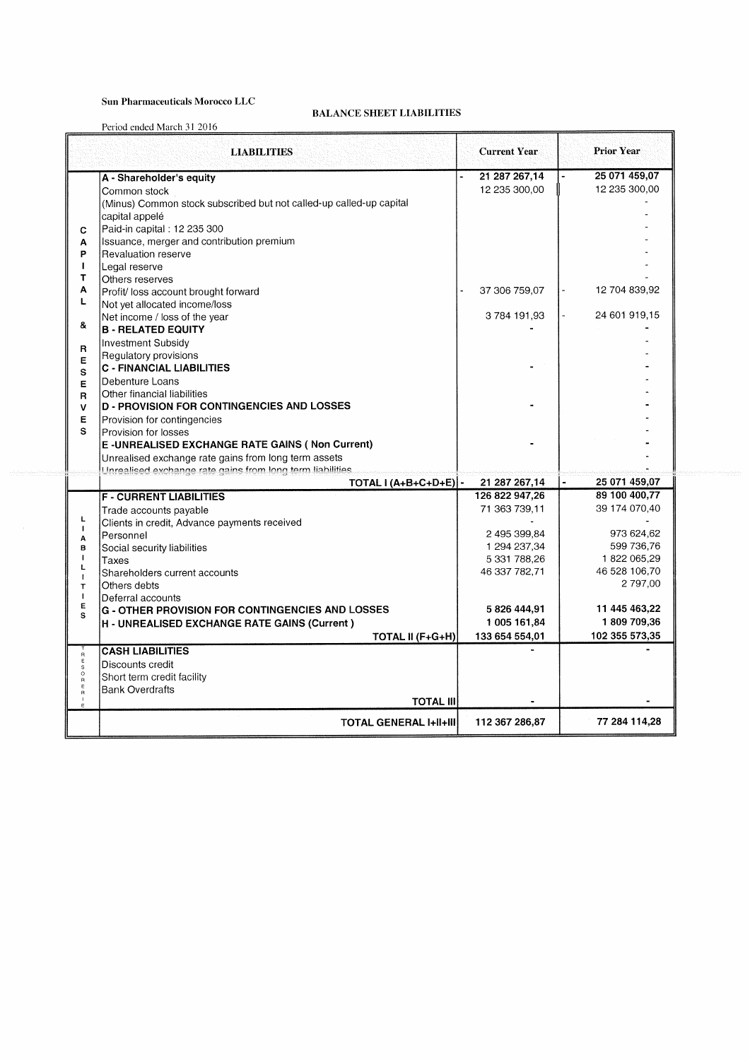### **Sun Pharmaceuticals Morocco LLC**

#### **BALANCE SHEET LIABILITIES**

Period ended March 31 2016

|                            | <b>LIABILITIES</b>                                                  | <b>Current Year</b> | <b>Prior Year</b> |
|----------------------------|---------------------------------------------------------------------|---------------------|-------------------|
|                            | A - Shareholder's equity                                            | 21 287 267,14       | 25 071 459,07     |
|                            | Common stock                                                        | 12 235 300,00       | 12 235 300,00     |
|                            | (Minus) Common stock subscribed but not called-up called-up capital |                     |                   |
|                            | capital appelé                                                      |                     |                   |
| c                          | Paid-in capital: 12 235 300                                         |                     |                   |
| A                          | Issuance, merger and contribution premium                           |                     |                   |
| P                          | Revaluation reserve                                                 |                     |                   |
| $\mathbf{I}$               | Legal reserve                                                       |                     |                   |
| T                          | Others reserves                                                     |                     |                   |
| A                          | Profit/ loss account brought forward                                | 37 306 759,07       | 12 704 839,92     |
| Г                          | Not yet allocated income/loss                                       |                     |                   |
|                            | Net income / loss of the year                                       | 3784 191,93         | 24 601 919,15     |
| 8.                         | <b>B - RELATED EQUITY</b>                                           |                     |                   |
| R                          | Investment Subsidy                                                  |                     |                   |
| E                          | Regulatory provisions                                               |                     |                   |
| S                          | <b>C - FINANCIAL LIABILITIES</b>                                    |                     |                   |
| E                          | Debenture Loans                                                     |                     |                   |
| $\mathbf R$                | Other financial liabilities                                         |                     |                   |
| v                          | <b>D - PROVISION FOR CONTINGENCIES AND LOSSES</b>                   |                     |                   |
| Е                          | Provision for contingencies                                         |                     |                   |
| S                          | Provision for losses                                                |                     |                   |
|                            | E-UNREALISED EXCHANGE RATE GAINS (Non Current)                      |                     |                   |
|                            | Unrealised exchange rate gains from long term assets                |                     |                   |
|                            | Unrealised exchange rate gains from long term liabilities           |                     |                   |
|                            | TOTAL $(A+B+C+D+E)$ -                                               | 21 287 267,14       | 25 071 459,07     |
|                            | <b>F-CURRENT LIABILITIES</b>                                        | 126 822 947,26      | 89 100 400.77     |
|                            | Trade accounts payable                                              | 71 363 739 11       | 39 174 070,40     |
| L<br>$\mathbf{I}$          | Clients in credit, Advance payments received                        |                     |                   |
| A                          | Personnel                                                           | 2 495 399,84        | 973 624,62        |
| B                          | Social security liabilities                                         | 1 294 237,34        | 599 736,76        |
| T<br>L                     | Taxes                                                               | 5 331 788,26        | 1 822 065,29      |
| $\mathbf{I}$               | Shareholders current accounts                                       | 46 337 782,71       | 46 528 106,70     |
| $\mathsf{T}$               | Others debts                                                        |                     | 2 797,00          |
| $\mathbf{I}$<br>Е          | lDeferral accounts                                                  |                     |                   |
| s                          | G - OTHER PROVISION FOR CONTINGENCIES AND LOSSES                    | 5826444.91          | 11 445 463,22     |
|                            | H - UNREALISED EXCHANGE RATE GAINS (Current)                        | 1 005 161,84        | 1809 709,36       |
|                            | TOTAL II (F+G+H)                                                    | 133 654 554,01      | 102 355 573,35    |
| $\mathbf{a}$               | <b>CASH LIABILITIES</b>                                             |                     |                   |
| $\mathsf E$<br>$\mathbb S$ | Discounts credit                                                    |                     |                   |
| $\circ$                    | Short term credit facility                                          |                     |                   |
| Ε                          | <b>Bank Overdrafts</b>                                              |                     |                   |
|                            | <b>TOTAL III</b>                                                    |                     |                   |
|                            | <b>TOTAL GENERAL I+II+III</b>                                       | 112 367 286,87      | 77 284 114,28     |
|                            |                                                                     |                     |                   |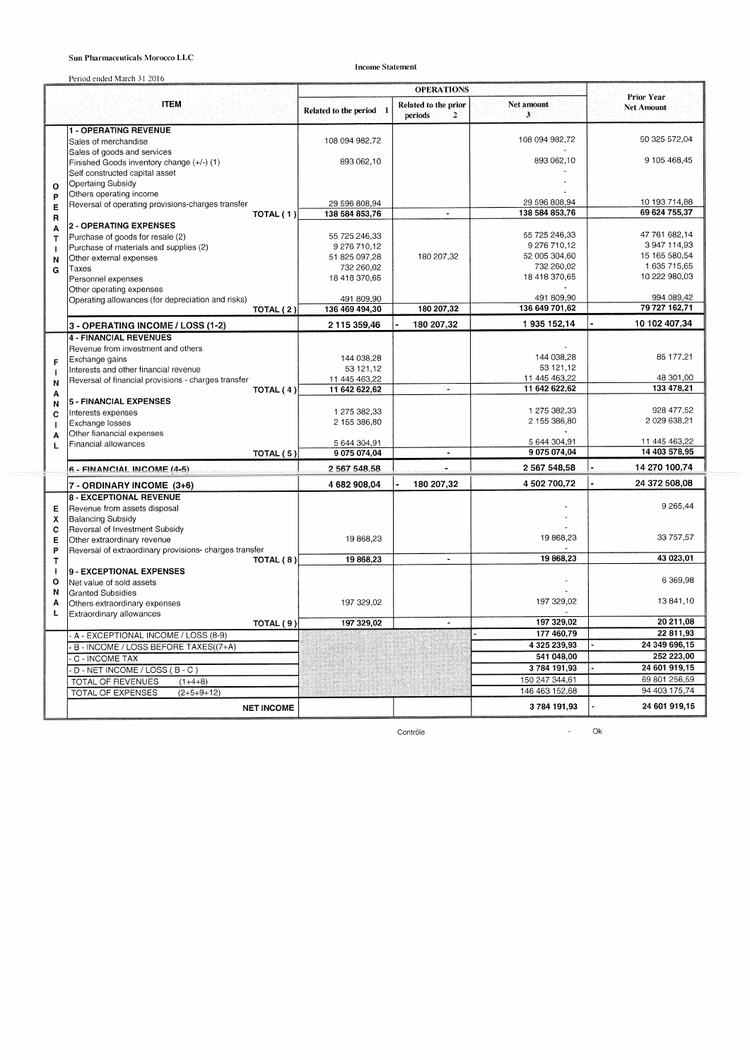#### Sun Pharmaceuticals Morocco LLC

**Income Statement** 

|                           | Period ended March 31 2016                             | <b>OPERATIONS</b>             |                                      |                                 |                                 |  |
|---------------------------|--------------------------------------------------------|-------------------------------|--------------------------------------|---------------------------------|---------------------------------|--|
|                           | <b>ITEM</b>                                            | Related to the period 1       | Related to the prior<br>periods<br>2 | Net amount<br>3                 | Prior Year<br><b>Net Amount</b> |  |
|                           | <b>1 - OPERATING REVENUE</b>                           |                               |                                      |                                 |                                 |  |
|                           | Sales of merchandise                                   | 108 094 982,72                |                                      | 108 094 982,72                  | 50 325 572,04                   |  |
|                           | Sales of goods and services                            |                               |                                      |                                 |                                 |  |
|                           | Finished Goods inventory change (+/-) (1)              | 893 062,10                    |                                      | 893 062,10                      | 9 105 468,45                    |  |
|                           | Self constructed capital asset                         |                               |                                      |                                 |                                 |  |
| $\circ$                   | Opertaing Subsidy                                      |                               |                                      |                                 |                                 |  |
| P                         | Others operating income                                |                               |                                      |                                 |                                 |  |
| Е                         | Reversal of operating provisions-charges transfer      | 29 596 808,94                 | $\blacksquare$                       | 29 596 808.94<br>138 584 853.76 | 10 193 714.88<br>69 624 755,37  |  |
| R                         | TOTAL (1)                                              | 138 584 853,76                |                                      |                                 |                                 |  |
| A                         | 2 - OPERATING EXPENSES                                 |                               |                                      | 55 725 246,33                   | 47 761 682,14                   |  |
| $\mathsf{T}$              | Purchase of goods for resale (2)                       | 55 725 246,33<br>9 276 710,12 |                                      | 9 276 710,12                    | 3 947 114,93                    |  |
| п                         | Purchase of materials and supplies (2)                 | 51 825 097,28                 | 180 207,32                           | 52 005 304,60                   | 15 165 580,54                   |  |
| N                         | Other external expenses<br>Taxes                       | 732 260,02                    |                                      | 732 260,02                      | 1 635 715,65                    |  |
| G                         | Personnel expenses                                     | 18 418 370,65                 |                                      | 18 418 370,65                   | 10 222 980,03                   |  |
|                           | Other operating expenses                               |                               |                                      |                                 |                                 |  |
|                           | Operating allowances (for depreciation and risks)      | 491 809,90                    |                                      | 491 809,90                      | 994 089,42                      |  |
|                           | TOTAL (2)                                              | 136 469 494,30                | 180 207,32                           | 136 649 701,62                  | 79 727 162,71                   |  |
|                           | 3 - OPERATING INCOME / LOSS (1-2)                      | 2 115 359,46                  | 180 207,32                           | 1935 152,14                     | 10 102 407,34                   |  |
|                           | <b>4 - FINANCIAL REVENUES</b>                          |                               |                                      |                                 |                                 |  |
|                           | Revenue from investment and others                     |                               |                                      |                                 |                                 |  |
| F                         | Exchange gains                                         | 144 038,28                    |                                      | 144 038,28                      | 85 177,21                       |  |
| $\mathbf{I}$              | Interests and other financial revenue                  | 53 121,12                     |                                      | 53 121,12                       |                                 |  |
| N                         | Reversal of financial provisions - charges transfer    | 11 445 463,22                 |                                      | 11 445 463,22                   | 48 301,00<br>133 478.21         |  |
| A                         | TOTAL (4)                                              | 11 642 622,62                 | $\sim$                               | 11 642 622,62                   |                                 |  |
| N                         | 5 - FINANCIAL EXPENSES                                 |                               |                                      |                                 | 928 477.52                      |  |
| C                         | Interests expenses                                     | 1 275 382,33                  |                                      | 1 275 382,33<br>2 155 386,80    | 2 029 638,21                    |  |
| $\mathbf{I}$              | Exchange losses                                        | 2 155 386,80                  |                                      |                                 |                                 |  |
| A                         | Other fianancial expenses<br>Financial allowances      | 5 644 304 91                  |                                      | 5 644 304,91                    | 11 445 463,22                   |  |
| L                         | TOTAL (5)                                              | 9075074,04                    |                                      | 9 075 074,04                    | 14 403 578,95                   |  |
|                           | 6 - FINANCIAL INCOME (4-5)                             | 2 567 548.58                  |                                      | 2 567 548,58                    | 14 270 100,74                   |  |
|                           | 7 - ORDINARY INCOME (3+6)                              | 4 682 908,04                  | 180 207,32                           | 4 502 700,72                    | 24 372 508,08                   |  |
|                           | 8 - EXCEPTIONAL REVENUE                                |                               |                                      |                                 |                                 |  |
| Е                         | Revenue from assets disposal                           |                               |                                      |                                 | 9 2 65,44                       |  |
| $\boldsymbol{\mathsf{x}}$ | <b>Balancing Subsidy</b>                               |                               |                                      |                                 |                                 |  |
| C                         | Reversal of Investment Subsidy                         |                               |                                      |                                 |                                 |  |
| Е                         | Other extraordinary revenue                            | 19 868,23                     |                                      | 19 868,23                       | 33 757,57                       |  |
| P                         | Reversal of extraordinary provisions- charges transfer | 19 868,23                     | $\blacksquare$                       | 19868,23                        | 43 023,01                       |  |
| T<br>I                    | TOTAL (8)                                              |                               |                                      |                                 |                                 |  |
| $\circ$                   | 9 - EXCEPTIONAL EXPENSES<br>Net value of sold assets   |                               |                                      |                                 | 6 369,98                        |  |
| Ν                         | <b>Granted Subsidies</b>                               |                               |                                      |                                 |                                 |  |
| A                         | Others extraordinary expenses                          | 197 329.02                    |                                      | 197 329,02                      | 13 841,10                       |  |
| L                         | Extraordinary allowances                               |                               |                                      |                                 |                                 |  |
|                           | TOTAL (9)                                              | 197 329,02                    |                                      | 197 329,02                      | 20 211,08                       |  |
|                           | A - EXCEPTIONAL INCOME / LOSS (8-9)                    |                               |                                      | 177 460.79                      | 22 811,93                       |  |
|                           | B - INCOME / LOSS BEFORE TAXES((7+A)                   |                               |                                      | 4 325 239,93                    | 24 349 696,15                   |  |
|                           | C - INCOME TAX                                         |                               |                                      | 541 048,00                      | 252 223,00                      |  |
|                           | D - NET INCOME / LOSS (B - C)                          |                               |                                      | 3784 191,93                     | 24 601 919,15                   |  |
|                           | TOTAL OF REVENUES<br>$(1+4+8)$                         |                               |                                      | 150 247 344,61                  | 69 801 256,59                   |  |
|                           | TOTAL OF EXPENSES<br>$(2+5+9+12)$                      |                               |                                      | 146 463 152,68                  | 94 403 175,74                   |  |
|                           | <b>NET INCOME</b>                                      |                               |                                      | 3784 191,93                     | 24 601 919,15                   |  |
|                           |                                                        |                               |                                      |                                 |                                 |  |

Contrôle

 $\sim$  Ok